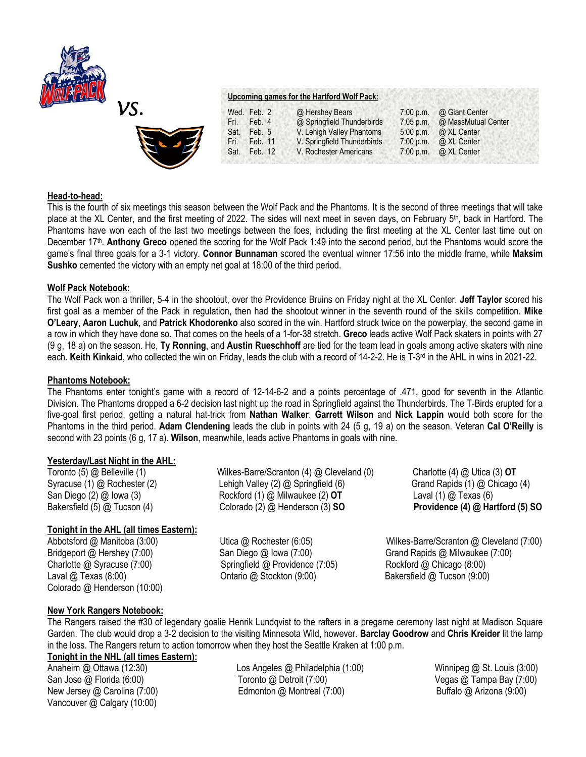



# **Upcoming games for the Hartford Wolf Pack:**

|      | Wed. Feb. 2 | @ Hershey Bears             | $7:00$ p.m. | @ Giant Center      |  |
|------|-------------|-----------------------------|-------------|---------------------|--|
| Fri. | Feb. 4      | @ Springfield Thunderbirds  | $7:05$ p.m. | @ MassMutual Center |  |
| Sat. | Feb. 5      | V. Lehigh Valley Phantoms   | 5:00 p.m.   | @ XL Center         |  |
| Fri. | Feb. 11     | V. Springfield Thunderbirds | 7:00 p.m.   | @ XL Center         |  |
| Sat. | Feb. 12     | V. Rochester Americans      | 7:00 p.m.   | @ XL Center         |  |
|      |             |                             |             |                     |  |

### **Head-to-head:**

This is the fourth of six meetings this season between the Wolf Pack and the Phantoms. It is the second of three meetings that will take place at the XL Center, and the first meeting of 2022. The sides will next meet in seven days, on February 5<sup>th</sup>, back in Hartford. The Phantoms have won each of the last two meetings between the foes, including the first meeting at the XL Center last time out on December 17<sup>th</sup>. Anthony Greco opened the scoring for the Wolf Pack 1:49 into the second period, but the Phantoms would score the game's final three goals for a 3-1 victory. **Connor Bunnaman** scored the eventual winner 17:56 into the middle frame, while **Maksim Sushko** cemented the victory with an empty net goal at 18:00 of the third period.

### **Wolf Pack Notebook:**

The Wolf Pack won a thriller, 5-4 in the shootout, over the Providence Bruins on Friday night at the XL Center. **Jeff Taylor** scored his first goal as a member of the Pack in regulation, then had the shootout winner in the seventh round of the skills competition. **Mike O'Leary**, **Aaron Luchuk**, and **Patrick Khodorenko** also scored in the win. Hartford struck twice on the powerplay, the second game in a row in which they have done so. That comes on the heels of a 1-for-38 stretch. **Greco** leads active Wolf Pack skaters in points with 27 (9 g, 18 a) on the season. He, **Ty Ronning**, and **Austin Rueschhoff** are tied for the team lead in goals among active skaters with nine each. Keith Kinkaid, who collected the win on Friday, leads the club with a record of 14-2-2. He is T-3<sup>rd</sup> in the AHL in wins in 2021-22.

### **Phantoms Notebook:**

The Phantoms enter tonight's game with a record of 12-14-6-2 and a points percentage of .471, good for seventh in the Atlantic Division. The Phantoms dropped a 6-2 decision last night up the road in Springfield against the Thunderbirds. The T-Birds erupted for a five-goal first period, getting a natural hat-trick from **Nathan Walker**. **Garrett Wilson** and **Nick Lappin** would both score for the Phantoms in the third period. **Adam Clendening** leads the club in points with 24 (5 g, 19 a) on the season. Veteran **Cal O'Reilly** is second with 23 points (6 g, 17 a). **Wilson**, meanwhile, leads active Phantoms in goals with nine.

### **Yesterday/Last Night in the AHL:**

Toronto (5) @ Belleville (1) Wilkes-Barre/Scranton (4) @ Cleveland (0) Charlotte (4) @ Utica (3) **OT** Syracuse (1) @ Rochester (2) Lehigh Valley (2) @ Springfield (6) Grand Rapids (1) @ Chicago (4) San Diego (2) @ Iowa (3) Rockford (1) @ Milwaukee (2) **OT** Laval (1) @ Texas (6) Bakersfield (5) @ Tucson (4) Colorado (2) @ Henderson (3) **SO Providence (4) @ Hartford (5) SO** 

**Tonight in the AHL (all times Eastern):**

Charlotte @ Syracuse (7:00) Springfield @ Providence (7:05) Rockford @ Chicago (8:00) Laval @ Texas (8:00) Ontario @ Stockton (9:00) Bakersfield @ Tucson (9:00) Colorado @ Henderson (10:00)

Abbotsford @ Manitoba (3:00) Utica @ Rochester (6:05) Wilkes-Barre/Scranton @ Cleveland (7:00) Bridgeport @ Hershey (7:00) San Diego @ Iowa (7:00) Grand Rapids @ Milwaukee (7:00)

# **New York Rangers Notebook:**

The Rangers raised the #30 of legendary goalie Henrik Lundqvist to the rafters in a pregame ceremony last night at Madison Square Garden. The club would drop a 3-2 decision to the visiting Minnesota Wild, however. **Barclay Goodrow** and **Chris Kreider** lit the lamp in the loss. The Rangers return to action tomorrow when they host the Seattle Kraken at 1:00 p.m.

# **Tonight in the NHL (all times Eastern):**

Vancouver @ Calgary (10:00)

Anaheim @ Ottawa (12:30) Los Angeles @ Philadelphia (1:00) Winnipeg @ St. Louis (3:00) San Jose @ Florida (6:00) Toronto @ Detroit (7:00) Vegas @ Tampa Bay (7:00) New Jersey @ Carolina (7:00) Edmonton @ Montreal (7:00) Buffalo @ Arizona (9:00)